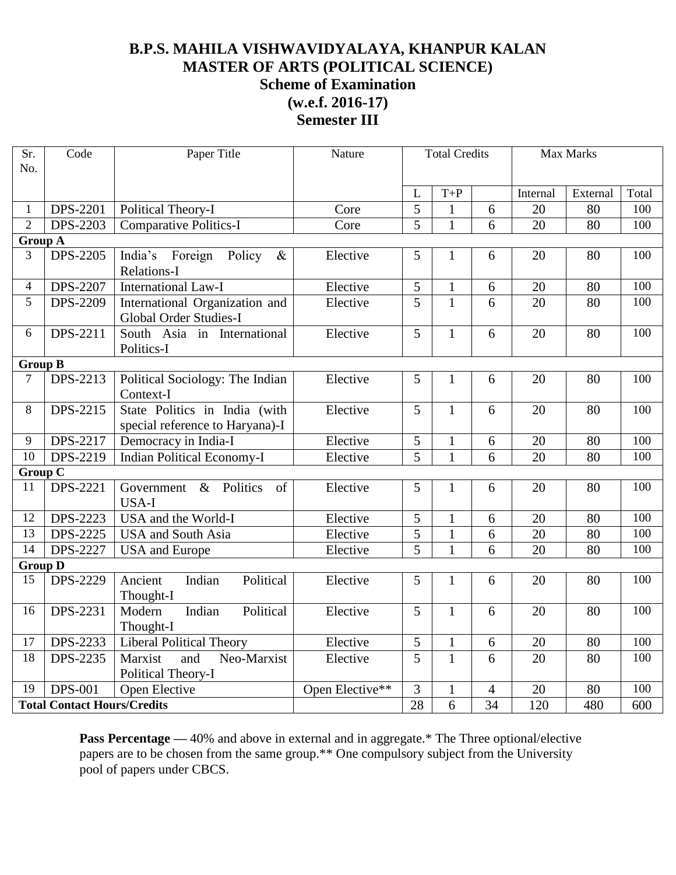## **B.P.S. MAHILA VISHWAVIDYALAYA, KHANPUR KALAN MASTER OF ARTS (POLITICAL SCIENCE) Scheme of Examination (w.e.f. 2016-17)**

**Semester III**

| Sr.<br>No.                         | Code            | Paper Title                                                      | Nature          | <b>Total Credits</b> |              |                          | <b>Max Marks</b> |          |       |
|------------------------------------|-----------------|------------------------------------------------------------------|-----------------|----------------------|--------------|--------------------------|------------------|----------|-------|
|                                    |                 |                                                                  |                 | L                    | $T+P$        |                          | Internal         | External | Total |
| $\mathbf{1}$                       | <b>DPS-2201</b> | Political Theory-I                                               | Core            | 5                    | 1            | 6                        | 20               | 80       | 100   |
| $\overline{2}$                     | <b>DPS-2203</b> | <b>Comparative Politics-I</b>                                    | Core            | 5                    | $\mathbf{1}$ | 6                        | 20               | 80       | 100   |
| <b>Group A</b>                     |                 |                                                                  |                 |                      |              |                          |                  |          |       |
| 3                                  | <b>DPS-2205</b> | India's Foreign Policy<br>$\&$<br>Relations-I                    | Elective        | 5                    | $\mathbf{1}$ | 6                        | 20               | 80       | 100   |
| $\overline{4}$                     | <b>DPS-2207</b> | <b>International Law-I</b>                                       | Elective        | 5                    | $\mathbf{1}$ | 6                        | 20               | 80       | 100   |
| 5                                  | <b>DPS-2209</b> | International Organization and<br>Global Order Studies-I         | Elective        | 5                    | $\mathbf{1}$ | 6                        | 20               | 80       | 100   |
| 6                                  | DPS-2211        | South Asia in International<br>Politics-I                        | Elective        | 5                    | $\mathbf{1}$ | 6                        | 20               | 80       | 100   |
|                                    | <b>Group B</b>  |                                                                  |                 |                      |              |                          |                  |          |       |
| $\tau$                             | <b>DPS-2213</b> | Political Sociology: The Indian<br>Context-I                     | Elective        | 5                    | $\mathbf{1}$ | 6                        | 20               | 80       | 100   |
| 8                                  | DPS-2215        | State Politics in India (with<br>special reference to Haryana)-I | Elective        | 5                    | $\mathbf{1}$ | 6                        | 20               | 80       | 100   |
| 9                                  | DPS-2217        | Democracy in India-I                                             | Elective        | 5                    | $\mathbf{1}$ | 6                        | 20               | 80       | 100   |
| $\overline{10}$                    | DPS-2219        | <b>Indian Political Economy-I</b>                                | Elective        | 5                    | $\mathbf{1}$ | 6                        | 20               | 80       | 100   |
| <b>Group C</b>                     |                 |                                                                  |                 |                      |              |                          |                  |          |       |
| 11                                 | DPS-2221        | Politics<br>Government<br>$\&$<br>of<br><b>USA-I</b>             | Elective        | 5                    | $\mathbf{1}$ | 6                        | 20               | 80       | 100   |
| 12                                 | <b>DPS-2223</b> | USA and the World-I                                              | Elective        | 5                    | $\mathbf{1}$ | 6                        | 20               | 80       | 100   |
| 13                                 | DPS-2225        | <b>USA</b> and South Asia                                        | Elective        | 5                    | $\mathbf{1}$ | 6                        | 20               | 80       | 100   |
| $\overline{14}$                    | <b>DPS-2227</b> | <b>USA</b> and Europe                                            | Elective        | 5                    | $\mathbf{1}$ | 6                        | 20               | 80       | 100   |
| <b>Group D</b>                     |                 |                                                                  |                 |                      |              |                          |                  |          |       |
| 15                                 | <b>DPS-2229</b> | Ancient<br>Indian<br>Political<br>Thought-I                      | Elective        | 5                    | $\mathbf{1}$ | 6                        | 20               | 80       | 100   |
| 16                                 | <b>DPS-2231</b> | Political<br>Modern<br>Indian<br>Thought-I                       | Elective        | 5                    | $\mathbf{1}$ | 6                        | 20               | 80       | 100   |
| 17                                 | DPS-2233        | <b>Liberal Political Theory</b>                                  | Elective        | 5                    | $\mathbf{1}$ | 6                        | 20               | 80       | 100   |
| $\overline{18}$                    | DPS-2235        | Neo-Marxist<br>Marxist<br>and<br>Political Theory-I              | Elective        | $\overline{5}$       | $\mathbf{1}$ | 6                        | 20               | 80       | 100   |
| 19                                 | <b>DPS-001</b>  | Open Elective                                                    | Open Elective** | 3                    | $\mathbf{1}$ | $\overline{\mathcal{A}}$ | 20               | 80       | 100   |
| <b>Total Contact Hours/Credits</b> |                 |                                                                  |                 | 28                   | 6            | 34                       | 120              | 480      | 600   |

Pass Percentage — 40% and above in external and in aggregate.\* The Three optional/elective papers are to be chosen from the same group.\*\* One compulsory subject from the University pool of papers under CBCS.